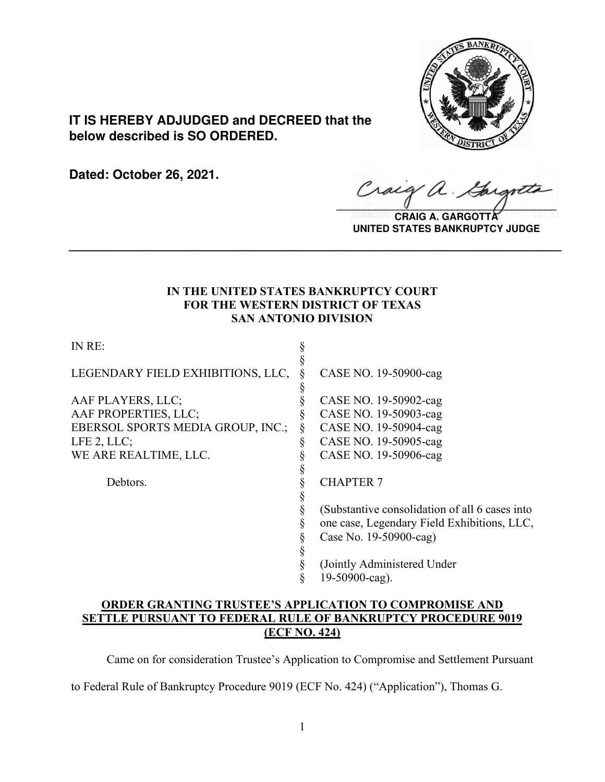

# **IT IS HEREBY ADJUDGED and DECREED that the below described is SO ORDERED.**

**Dated: October 26, 2021.**

 $\alpha$ .  $\sqrt{2}$ 

**CRAIG A. GARGOTTA UNITED STATES BANKRUPTCY JUDGE**

## **IN THE UNITED STATES BANKRUPTCY COURT FOR THE WESTERN DISTRICT OF TEXAS SAN ANTONIO DIVISION**

**\_\_\_\_\_\_\_\_\_\_\_\_\_\_\_\_\_\_\_\_\_\_\_\_\_\_\_\_\_\_\_\_\_\_\_\_\_\_\_\_\_\_\_\_\_\_\_\_\_\_\_\_\_\_\_\_\_\_\_\_\_\_\_\_**

IN RE: §

| LEGENDARY FIELD EXHIBITIONS, LLC,        | CASE NO. 19-50900-cag                          |
|------------------------------------------|------------------------------------------------|
|                                          |                                                |
| AAF PLAYERS, LLC;                        | CASE NO. 19-50902-cag                          |
| AAF PROPERTIES, LLC;                     | CASE NO. 19-50903-cag                          |
| <b>EBERSOL SPORTS MEDIA GROUP, INC.;</b> | CASE NO. 19-50904-cag                          |
| LFE 2, LLC;                              | CASE NO. 19-50905-cag                          |
| WE ARE REALTIME, LLC.                    | CASE NO. 19-50906-cag                          |
|                                          |                                                |
| Debtors.                                 | <b>CHAPTER 7</b>                               |
|                                          |                                                |
|                                          | (Substantive consolidation of all 6 cases into |
|                                          | one case, Legendary Field Exhibitions, LLC,    |
|                                          | Case No. 19-50900-cag)                         |
|                                          |                                                |
|                                          | (Jointly Administered Under                    |
|                                          | 19-50900-cag).                                 |
|                                          |                                                |

## **ORDER GRANTING TRUSTEE'S APPLICATION TO COMPROMISE AND SETTLE PURSUANT TO FEDERAL RULE OF BANKRUPTCY PROCEDURE 9019 (ECF NO. 424)**

Came on for consideration Trustee's Application to Compromise and Settlement Pursuant

to Federal Rule of Bankruptcy Procedure 9019 (ECF No. 424) ("Application"), Thomas G.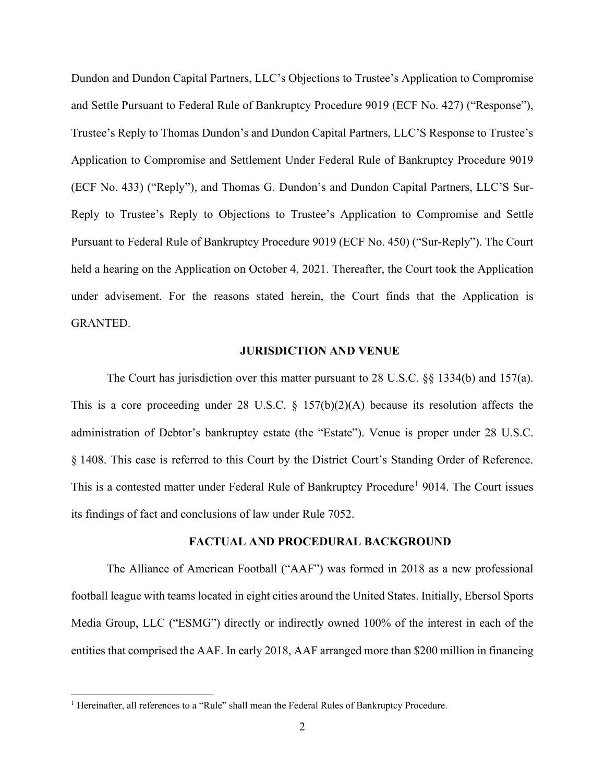Dundon and Dundon Capital Partners, LLC's Objections to Trustee's Application to Compromise and Settle Pursuant to Federal Rule of Bankruptcy Procedure 9019 (ECF No. 427) ("Response"), Trustee's Reply to Thomas Dundon's and Dundon Capital Partners, LLC'S Response to Trustee's Application to Compromise and Settlement Under Federal Rule of Bankruptcy Procedure 9019 (ECF No. 433) ("Reply"), and Thomas G. Dundon's and Dundon Capital Partners, LLC'S Sur-Reply to Trustee's Reply to Objections to Trustee's Application to Compromise and Settle Pursuant to Federal Rule of Bankruptcy Procedure 9019 (ECF No. 450) ("Sur-Reply"). The Court held a hearing on the Application on October 4, 2021. Thereafter, the Court took the Application under advisement. For the reasons stated herein, the Court finds that the Application is GRANTED.

### **JURISDICTION AND VENUE**

The Court has jurisdiction over this matter pursuant to 28 U.S.C. §§ 1334(b) and 157(a). This is a core proceeding under 28 U.S.C.  $\S$  157(b)(2)(A) because its resolution affects the administration of Debtor's bankruptcy estate (the "Estate"). Venue is proper under 28 U.S.C. § 1408. This case is referred to this Court by the District Court's Standing Order of Reference. This is a contested matter under Federal Rule of Bankruptcy Procedure<sup>[1](#page-1-0)</sup> 9014. The Court issues its findings of fact and conclusions of law under Rule 7052.

### **FACTUAL AND PROCEDURAL BACKGROUND**

The Alliance of American Football ("AAF") was formed in 2018 as a new professional football league with teams located in eight cities around the United States. Initially, Ebersol Sports Media Group, LLC ("ESMG") directly or indirectly owned 100% of the interest in each of the entities that comprised the AAF. In early 2018, AAF arranged more than \$200 million in financing

<span id="page-1-0"></span><sup>&</sup>lt;sup>1</sup> Hereinafter, all references to a "Rule" shall mean the Federal Rules of Bankruptcy Procedure.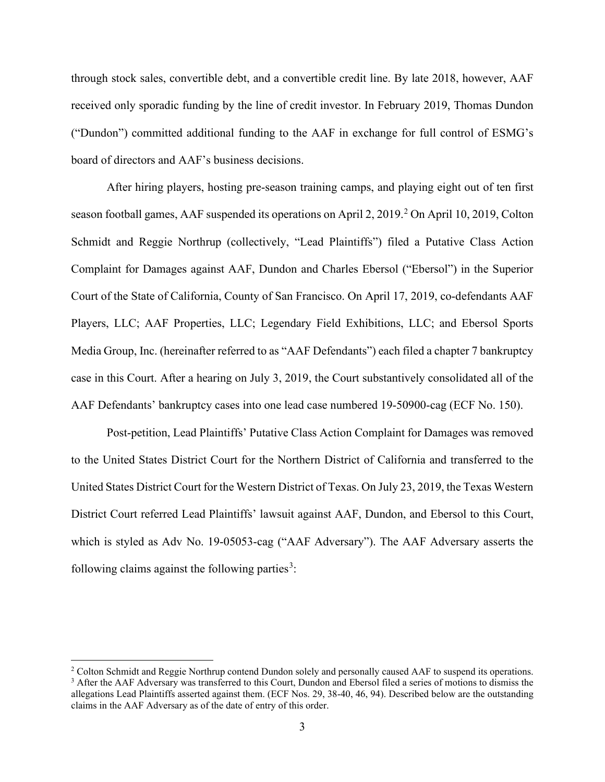through stock sales, convertible debt, and a convertible credit line. By late 2018, however, AAF received only sporadic funding by the line of credit investor. In February 2019, Thomas Dundon ("Dundon") committed additional funding to the AAF in exchange for full control of ESMG's board of directors and AAF's business decisions.

After hiring players, hosting pre-season training camps, and playing eight out of ten first season football games, AAF suspended its operations on April [2](#page-2-0), 2019.<sup>2</sup> On April 10, 2019, Colton Schmidt and Reggie Northrup (collectively, "Lead Plaintiffs") filed a Putative Class Action Complaint for Damages against AAF, Dundon and Charles Ebersol ("Ebersol") in the Superior Court of the State of California, County of San Francisco. On April 17, 2019, co-defendants AAF Players, LLC; AAF Properties, LLC; Legendary Field Exhibitions, LLC; and Ebersol Sports Media Group, Inc. (hereinafter referred to as "AAF Defendants") each filed a chapter 7 bankruptcy case in this Court. After a hearing on July 3, 2019, the Court substantively consolidated all of the AAF Defendants' bankruptcy cases into one lead case numbered 19-50900-cag (ECF No. 150).

Post-petition, Lead Plaintiffs' Putative Class Action Complaint for Damages was removed to the United States District Court for the Northern District of California and transferred to the United States District Court for the Western District of Texas. On July 23, 2019, the Texas Western District Court referred Lead Plaintiffs' lawsuit against AAF, Dundon, and Ebersol to this Court, which is styled as Adv No. 19-05053-cag ("AAF Adversary"). The AAF Adversary asserts the following claims against the following parties<sup>[3](#page-2-1)</sup>:

<span id="page-2-1"></span><span id="page-2-0"></span><sup>&</sup>lt;sup>2</sup> Colton Schmidt and Reggie Northrup contend Dundon solely and personally caused AAF to suspend its operations. <sup>3</sup> After the AAF Adversary was transferred to this Court, Dundon and Ebersol filed a series of motions to dismiss the allegations Lead Plaintiffs asserted against them. (ECF Nos. 29, 38-40, 46, 94). Described below are the outstanding claims in the AAF Adversary as of the date of entry of this order.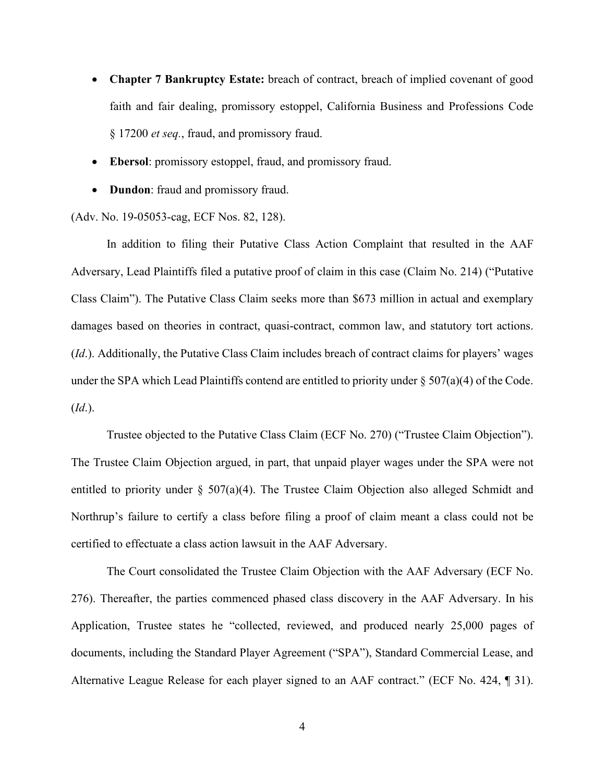- **Chapter 7 Bankruptcy Estate:** breach of contract, breach of implied covenant of good faith and fair dealing, promissory estoppel, California Business and Professions Code § 17200 *et seq.*, fraud, and promissory fraud.
- **Ebersol**: promissory estoppel, fraud, and promissory fraud.
- **Dundon**: fraud and promissory fraud.

(Adv. No. 19-05053-cag, ECF Nos. 82, 128).

In addition to filing their Putative Class Action Complaint that resulted in the AAF Adversary, Lead Plaintiffs filed a putative proof of claim in this case (Claim No. 214) ("Putative Class Claim"). The Putative Class Claim seeks more than \$673 million in actual and exemplary damages based on theories in contract, quasi-contract, common law, and statutory tort actions. (*Id*.). Additionally, the Putative Class Claim includes breach of contract claims for players' wages under the SPA which Lead Plaintiffs contend are entitled to priority under  $\S 507(a)(4)$  of the Code. (*Id*.).

Trustee objected to the Putative Class Claim (ECF No. 270) ("Trustee Claim Objection"). The Trustee Claim Objection argued, in part, that unpaid player wages under the SPA were not entitled to priority under  $\S$  507(a)(4). The Trustee Claim Objection also alleged Schmidt and Northrup's failure to certify a class before filing a proof of claim meant a class could not be certified to effectuate a class action lawsuit in the AAF Adversary.

The Court consolidated the Trustee Claim Objection with the AAF Adversary (ECF No. 276). Thereafter, the parties commenced phased class discovery in the AAF Adversary. In his Application, Trustee states he "collected, reviewed, and produced nearly 25,000 pages of documents, including the Standard Player Agreement ("SPA"), Standard Commercial Lease, and Alternative League Release for each player signed to an AAF contract." (ECF No. 424, ¶ 31).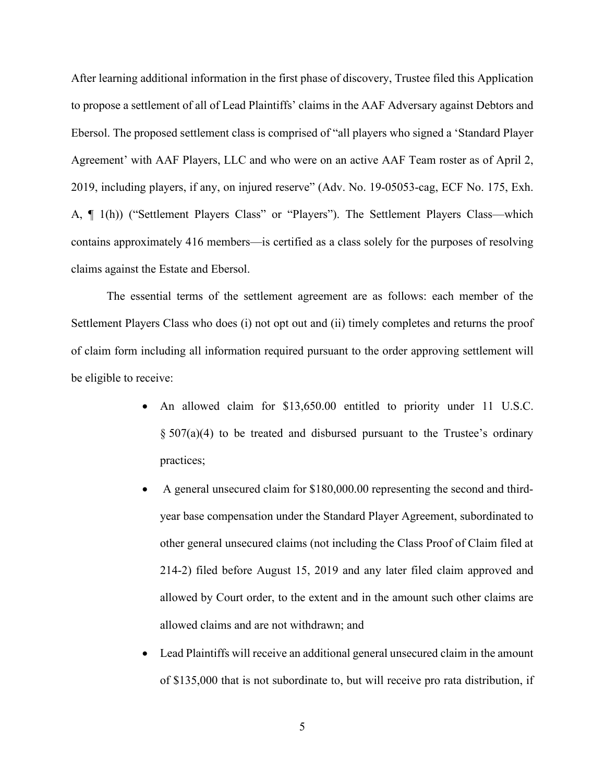After learning additional information in the first phase of discovery, Trustee filed this Application to propose a settlement of all of Lead Plaintiffs' claims in the AAF Adversary against Debtors and Ebersol. The proposed settlement class is comprised of "all players who signed a 'Standard Player Agreement' with AAF Players, LLC and who were on an active AAF Team roster as of April 2, 2019, including players, if any, on injured reserve" (Adv. No. 19-05053-cag, ECF No. 175, Exh. A, ¶ 1(h)) ("Settlement Players Class" or "Players"). The Settlement Players Class—which contains approximately 416 members—is certified as a class solely for the purposes of resolving claims against the Estate and Ebersol.

The essential terms of the settlement agreement are as follows: each member of the Settlement Players Class who does (i) not opt out and (ii) timely completes and returns the proof of claim form including all information required pursuant to the order approving settlement will be eligible to receive:

- An allowed claim for \$13,650.00 entitled to priority under 11 U.S.C.  $\S 507(a)(4)$  to be treated and disbursed pursuant to the Trustee's ordinary practices;
- A general unsecured claim for \$180,000.00 representing the second and thirdyear base compensation under the Standard Player Agreement, subordinated to other general unsecured claims (not including the Class Proof of Claim filed at 214-2) filed before August 15, 2019 and any later filed claim approved and allowed by Court order, to the extent and in the amount such other claims are allowed claims and are not withdrawn; and
- Lead Plaintiffs will receive an additional general unsecured claim in the amount of \$135,000 that is not subordinate to, but will receive pro rata distribution, if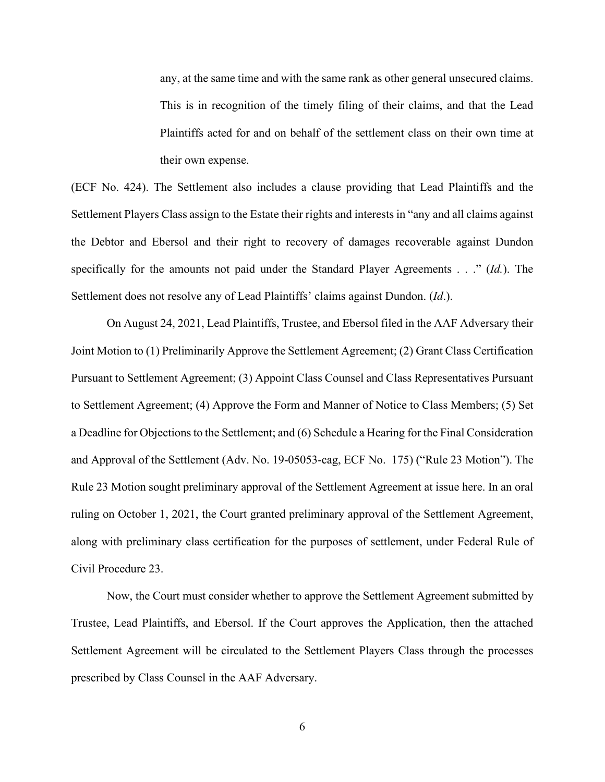any, at the same time and with the same rank as other general unsecured claims. This is in recognition of the timely filing of their claims, and that the Lead Plaintiffs acted for and on behalf of the settlement class on their own time at their own expense.

(ECF No. 424). The Settlement also includes a clause providing that Lead Plaintiffs and the Settlement Players Class assign to the Estate their rights and interests in "any and all claims against the Debtor and Ebersol and their right to recovery of damages recoverable against Dundon specifically for the amounts not paid under the Standard Player Agreements . . ." (*Id.*). The Settlement does not resolve any of Lead Plaintiffs' claims against Dundon. (*Id*.).

On August 24, 2021, Lead Plaintiffs, Trustee, and Ebersol filed in the AAF Adversary their Joint Motion to (1) Preliminarily Approve the Settlement Agreement; (2) Grant Class Certification Pursuant to Settlement Agreement; (3) Appoint Class Counsel and Class Representatives Pursuant to Settlement Agreement; (4) Approve the Form and Manner of Notice to Class Members; (5) Set a Deadline for Objections to the Settlement; and (6) Schedule a Hearing for the Final Consideration and Approval of the Settlement (Adv. No. 19-05053-cag, ECF No. 175) ("Rule 23 Motion"). The Rule 23 Motion sought preliminary approval of the Settlement Agreement at issue here. In an oral ruling on October 1, 2021, the Court granted preliminary approval of the Settlement Agreement, along with preliminary class certification for the purposes of settlement, under Federal Rule of Civil Procedure 23.

Now, the Court must consider whether to approve the Settlement Agreement submitted by Trustee, Lead Plaintiffs, and Ebersol. If the Court approves the Application, then the attached Settlement Agreement will be circulated to the Settlement Players Class through the processes prescribed by Class Counsel in the AAF Adversary.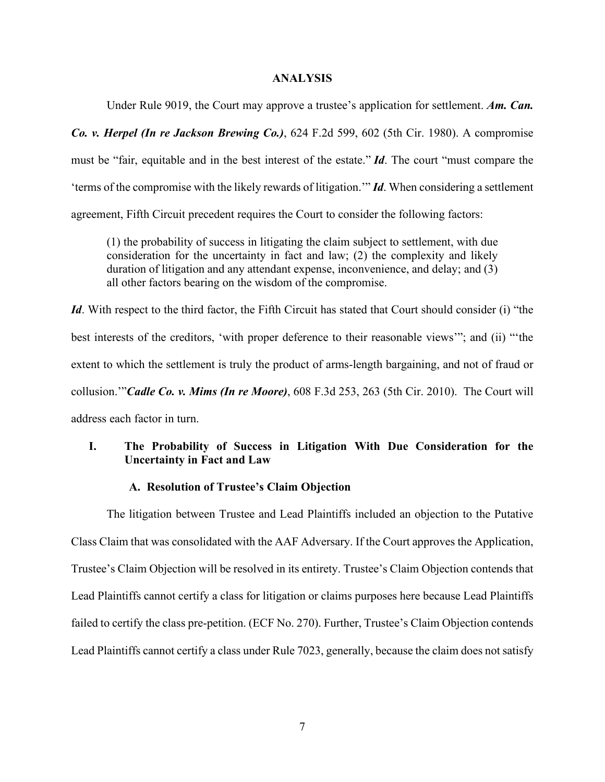### **ANALYSIS**

Under Rule 9019, the Court may approve a trustee's application for settlement. *Am. Can. Co. v. Herpel (In re Jackson Brewing Co.)*, 624 F.2d 599, 602 (5th Cir. 1980). A compromise must be "fair, equitable and in the best interest of the estate." *Id*. The court "must compare the 'terms of the compromise with the likely rewards of litigation.'" *Id*. When considering a settlement agreement, Fifth Circuit precedent requires the Court to consider the following factors:

(1) the probability of success in litigating the claim subject to settlement, with due consideration for the uncertainty in fact and law; (2) the complexity and likely duration of litigation and any attendant expense, inconvenience, and delay; and (3) all other factors bearing on the wisdom of the compromise.

*Id*. With respect to the third factor, the Fifth Circuit has stated that Court should consider (i) "the best interests of the creditors, 'with proper deference to their reasonable views'"; and (ii) "'the extent to which the settlement is truly the product of arms-length bargaining, and not of fraud or collusion.'"*Cadle Co. v. Mims (In re Moore)*, 608 F.3d 253, 263 (5th Cir. 2010). The Court will address each factor in turn.

## **I. The Probability of Success in Litigation With Due Consideration for the Uncertainty in Fact and Law**

## **A. Resolution of Trustee's Claim Objection**

The litigation between Trustee and Lead Plaintiffs included an objection to the Putative Class Claim that was consolidated with the AAF Adversary. If the Court approves the Application, Trustee's Claim Objection will be resolved in its entirety. Trustee's Claim Objection contends that Lead Plaintiffs cannot certify a class for litigation or claims purposes here because Lead Plaintiffs failed to certify the class pre-petition. (ECF No. 270). Further, Trustee's Claim Objection contends Lead Plaintiffs cannot certify a class under Rule 7023, generally, because the claim does not satisfy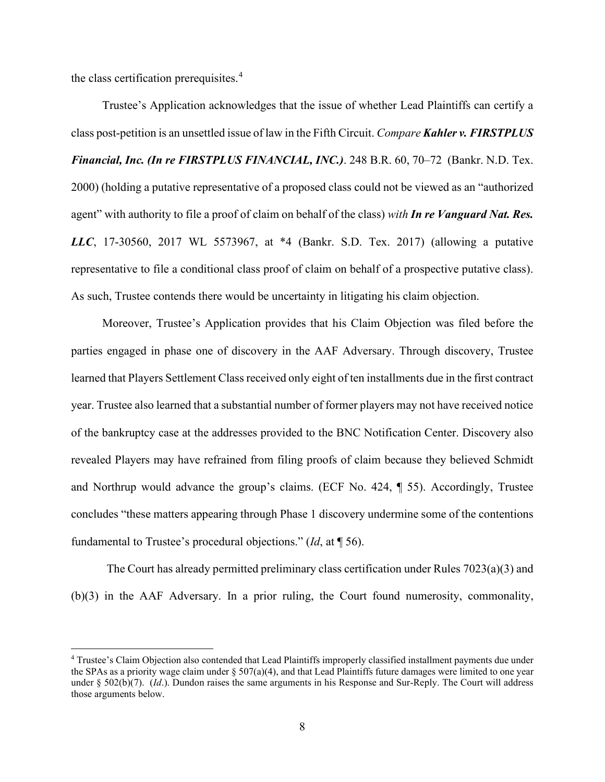the class certification prerequisites.<sup>[4](#page-7-0)</sup>

Trustee's Application acknowledges that the issue of whether Lead Plaintiffs can certify a class post-petition is an unsettled issue of law in the Fifth Circuit. *Compare Kahler v. FIRSTPLUS Financial, Inc. (In re FIRSTPLUS FINANCIAL, INC.)*. 248 B.R. 60, 70–72 (Bankr. N.D. Tex. 2000) (holding a putative representative of a proposed class could not be viewed as an "authorized agent" with authority to file a proof of claim on behalf of the class) *with In re Vanguard Nat. Res. LLC*, 17-30560, 2017 WL 5573967, at \*4 (Bankr. S.D. Tex. 2017) (allowing a putative representative to file a conditional class proof of claim on behalf of a prospective putative class). As such, Trustee contends there would be uncertainty in litigating his claim objection.

Moreover, Trustee's Application provides that his Claim Objection was filed before the parties engaged in phase one of discovery in the AAF Adversary. Through discovery, Trustee learned that Players Settlement Class received only eight of ten installments due in the first contract year. Trustee also learned that a substantial number of former players may not have received notice of the bankruptcy case at the addresses provided to the BNC Notification Center. Discovery also revealed Players may have refrained from filing proofs of claim because they believed Schmidt and Northrup would advance the group's claims. (ECF No. 424, ¶ 55). Accordingly, Trustee concludes "these matters appearing through Phase 1 discovery undermine some of the contentions fundamental to Trustee's procedural objections." (*Id*, at ¶ 56).

The Court has already permitted preliminary class certification under Rules 7023(a)(3) and (b)(3) in the AAF Adversary. In a prior ruling, the Court found numerosity, commonality,

<span id="page-7-0"></span><sup>4</sup> Trustee's Claim Objection also contended that Lead Plaintiffs improperly classified installment payments due under the SPAs as a priority wage claim under  $\S 507(a)(4)$ , and that Lead Plaintiffs future damages were limited to one year under § 502(b)(7). (*Id*.). Dundon raises the same arguments in his Response and Sur-Reply. The Court will address those arguments below.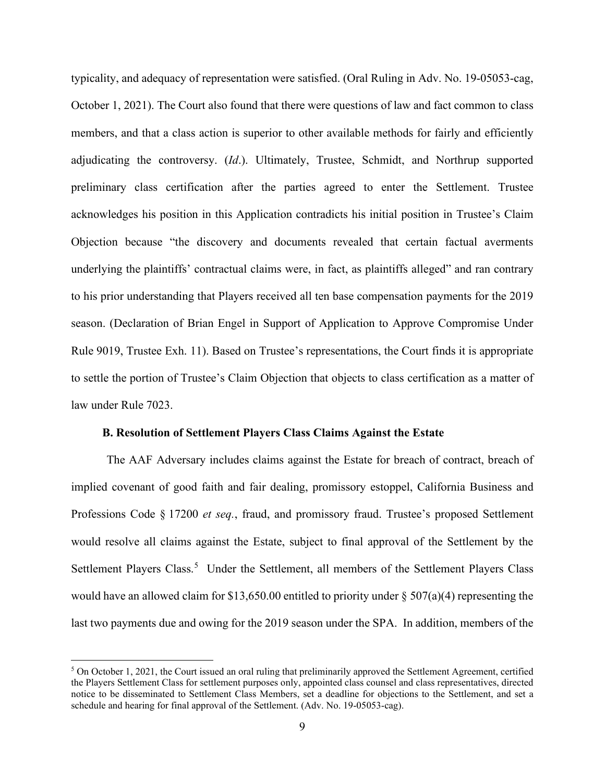typicality, and adequacy of representation were satisfied. (Oral Ruling in Adv. No. 19-05053-cag, October 1, 2021). The Court also found that there were questions of law and fact common to class members, and that a class action is superior to other available methods for fairly and efficiently adjudicating the controversy. (*Id*.). Ultimately, Trustee, Schmidt, and Northrup supported preliminary class certification after the parties agreed to enter the Settlement. Trustee acknowledges his position in this Application contradicts his initial position in Trustee's Claim Objection because "the discovery and documents revealed that certain factual averments underlying the plaintiffs' contractual claims were, in fact, as plaintiffs alleged" and ran contrary to his prior understanding that Players received all ten base compensation payments for the 2019 season. (Declaration of Brian Engel in Support of Application to Approve Compromise Under Rule 9019, Trustee Exh. 11). Based on Trustee's representations, the Court finds it is appropriate to settle the portion of Trustee's Claim Objection that objects to class certification as a matter of law under Rule 7023.

## **B. Resolution of Settlement Players Class Claims Against the Estate**

The AAF Adversary includes claims against the Estate for breach of contract, breach of implied covenant of good faith and fair dealing, promissory estoppel, California Business and Professions Code § 17200 *et seq.*, fraud, and promissory fraud. Trustee's proposed Settlement would resolve all claims against the Estate, subject to final approval of the Settlement by the Settlement Players Class.<sup>[5](#page-8-0)</sup> Under the Settlement, all members of the Settlement Players Class would have an allowed claim for \$13,650.00 entitled to priority under § 507(a)(4) representing the last two payments due and owing for the 2019 season under the SPA. In addition, members of the

<span id="page-8-0"></span> $5$  On October 1, 2021, the Court issued an oral ruling that preliminarily approved the Settlement Agreement, certified the Players Settlement Class for settlement purposes only, appointed class counsel and class representatives, directed notice to be disseminated to Settlement Class Members, set a deadline for objections to the Settlement, and set a schedule and hearing for final approval of the Settlement. (Adv. No. 19-05053-cag).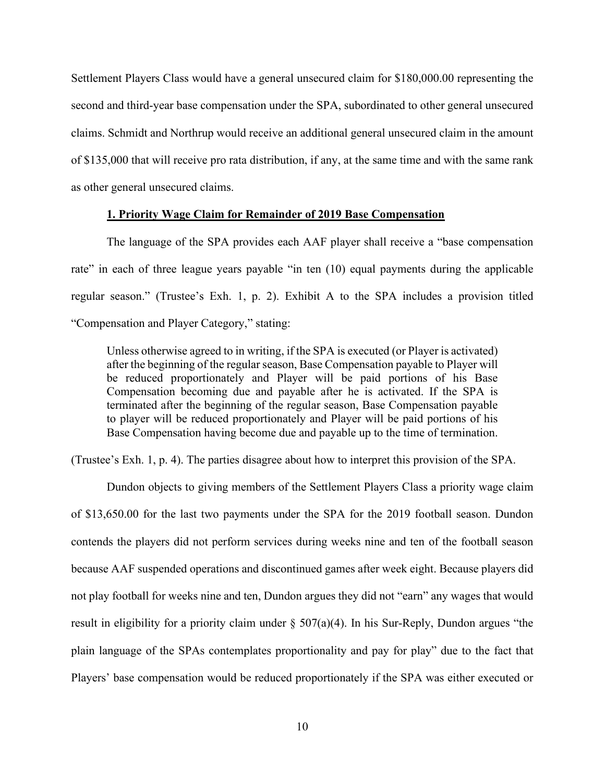Settlement Players Class would have a general unsecured claim for \$180,000.00 representing the second and third-year base compensation under the SPA, subordinated to other general unsecured claims. Schmidt and Northrup would receive an additional general unsecured claim in the amount of \$135,000 that will receive pro rata distribution, if any, at the same time and with the same rank as other general unsecured claims.

### **1. Priority Wage Claim for Remainder of 2019 Base Compensation**

The language of the SPA provides each AAF player shall receive a "base compensation rate" in each of three league years payable "in ten (10) equal payments during the applicable regular season." (Trustee's Exh. 1, p. 2). Exhibit A to the SPA includes a provision titled "Compensation and Player Category," stating:

Unless otherwise agreed to in writing, if the SPA is executed (or Player is activated) after the beginning of the regular season, Base Compensation payable to Player will be reduced proportionately and Player will be paid portions of his Base Compensation becoming due and payable after he is activated. If the SPA is terminated after the beginning of the regular season, Base Compensation payable to player will be reduced proportionately and Player will be paid portions of his Base Compensation having become due and payable up to the time of termination.

(Trustee's Exh. 1, p. 4). The parties disagree about how to interpret this provision of the SPA.

Dundon objects to giving members of the Settlement Players Class a priority wage claim of \$13,650.00 for the last two payments under the SPA for the 2019 football season. Dundon contends the players did not perform services during weeks nine and ten of the football season because AAF suspended operations and discontinued games after week eight. Because players did not play football for weeks nine and ten, Dundon argues they did not "earn" any wages that would result in eligibility for a priority claim under  $\S 507(a)(4)$ . In his Sur-Reply, Dundon argues "the plain language of the SPAs contemplates proportionality and pay for play" due to the fact that Players' base compensation would be reduced proportionately if the SPA was either executed or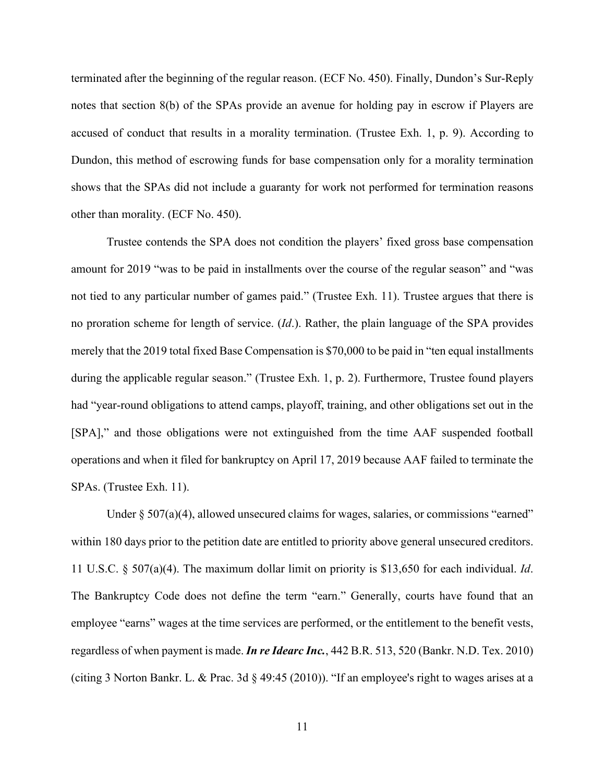terminated after the beginning of the regular reason. (ECF No. 450). Finally, Dundon's Sur-Reply notes that section 8(b) of the SPAs provide an avenue for holding pay in escrow if Players are accused of conduct that results in a morality termination. (Trustee Exh. 1, p. 9). According to Dundon, this method of escrowing funds for base compensation only for a morality termination shows that the SPAs did not include a guaranty for work not performed for termination reasons other than morality. (ECF No. 450).

Trustee contends the SPA does not condition the players' fixed gross base compensation amount for 2019 "was to be paid in installments over the course of the regular season" and "was not tied to any particular number of games paid." (Trustee Exh. 11). Trustee argues that there is no proration scheme for length of service. (*Id*.). Rather, the plain language of the SPA provides merely that the 2019 total fixed Base Compensation is \$70,000 to be paid in "ten equal installments during the applicable regular season." (Trustee Exh. 1, p. 2). Furthermore, Trustee found players had "year-round obligations to attend camps, playoff, training, and other obligations set out in the [SPA]," and those obligations were not extinguished from the time AAF suspended football operations and when it filed for bankruptcy on April 17, 2019 because AAF failed to terminate the SPAs. (Trustee Exh. 11).

Under  $\S 507(a)(4)$ , allowed unsecured claims for wages, salaries, or commissions "earned" within 180 days prior to the petition date are entitled to priority above general unsecured creditors. 11 U.S.C. § 507(a)(4). The maximum dollar limit on priority is \$13,650 for each individual. *Id*. The Bankruptcy Code does not define the term "earn." Generally, courts have found that an employee "earns" wages at the time services are performed, or the entitlement to the benefit vests, regardless of when payment is made. *In re Idearc Inc.*, 442 B.R. 513, 520 (Bankr. N.D. Tex. 2010) (citing 3 Norton Bankr. L. & Prac. 3d § 49:45 (2010)). "If an employee's right to wages arises at a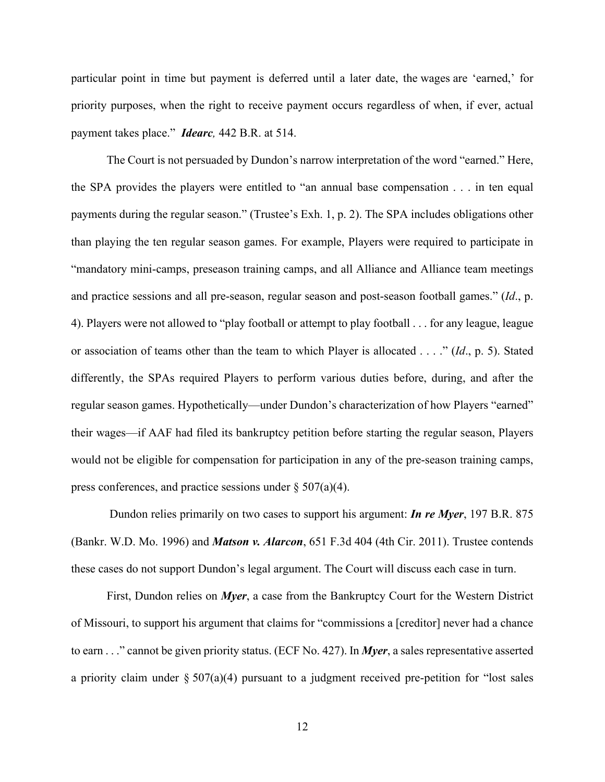particular point in time but payment is deferred until a later date, the wages are 'earned,' for priority purposes, when the right to receive payment occurs regardless of when, if ever, actual payment takes place." *Idearc,* 442 B.R. at 514.

The Court is not persuaded by Dundon's narrow interpretation of the word "earned." Here, the SPA provides the players were entitled to "an annual base compensation . . . in ten equal payments during the regular season." (Trustee's Exh. 1, p. 2). The SPA includes obligations other than playing the ten regular season games. For example, Players were required to participate in "mandatory mini-camps, preseason training camps, and all Alliance and Alliance team meetings and practice sessions and all pre-season, regular season and post-season football games." (*Id*., p. 4). Players were not allowed to "play football or attempt to play football . . . for any league, league or association of teams other than the team to which Player is allocated . . . ." (*Id*., p. 5). Stated differently, the SPAs required Players to perform various duties before, during, and after the regular season games. Hypothetically—under Dundon's characterization of how Players "earned" their wages—if AAF had filed its bankruptcy petition before starting the regular season, Players would not be eligible for compensation for participation in any of the pre-season training camps, press conferences, and practice sessions under  $\S 507(a)(4)$ .

Dundon relies primarily on two cases to support his argument: *In re Myer*, 197 B.R. 875 (Bankr. W.D. Mo. 1996) and *Matson v. Alarcon*, 651 F.3d 404 (4th Cir. 2011). Trustee contends these cases do not support Dundon's legal argument. The Court will discuss each case in turn.

First, Dundon relies on *Myer*, a case from the Bankruptcy Court for the Western District of Missouri, to support his argument that claims for "commissions a [creditor] never had a chance to earn . . ." cannot be given priority status. (ECF No. 427). In *Myer*, a sales representative asserted a priority claim under  $\S 507(a)(4)$  pursuant to a judgment received pre-petition for "lost sales"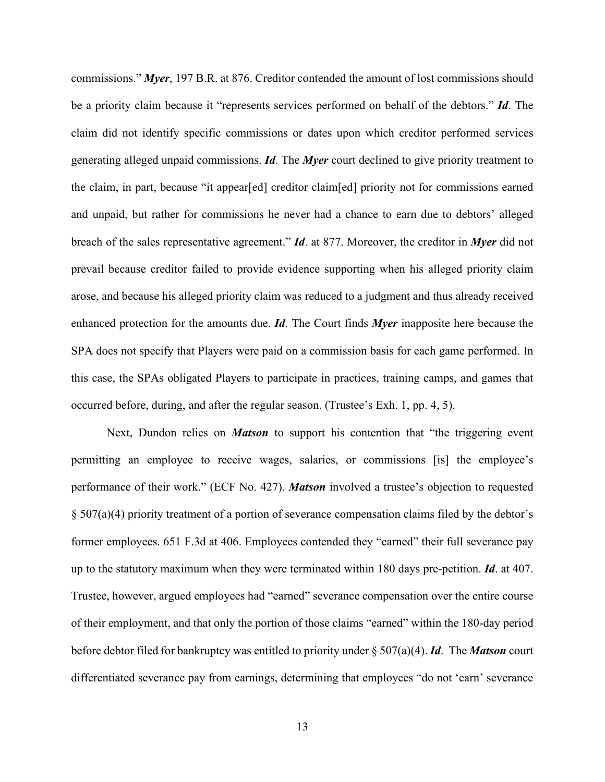commissions." *Myer*, 197 B.R. at 876. Creditor contended the amount of lost commissions should be a priority claim because it "represents services performed on behalf of the debtors." *Id*. The claim did not identify specific commissions or dates upon which creditor performed services generating alleged unpaid commissions. *Id*. The *Myer* court declined to give priority treatment to the claim, in part, because "it appear[ed] creditor claim[ed] priority not for commissions earned and unpaid, but rather for commissions he never had a chance to earn due to debtors' alleged breach of the sales representative agreement." *Id*. at 877. Moreover, the creditor in *Myer* did not prevail because creditor failed to provide evidence supporting when his alleged priority claim arose, and because his alleged priority claim was reduced to a judgment and thus already received enhanced protection for the amounts due. *Id*. The Court finds *Myer* inapposite here because the SPA does not specify that Players were paid on a commission basis for each game performed. In this case, the SPAs obligated Players to participate in practices, training camps, and games that occurred before, during, and after the regular season. (Trustee's Exh. 1, pp. 4, 5).

Next, Dundon relies on *Matson* to support his contention that "the triggering event permitting an employee to receive wages, salaries, or commissions [is] the employee's performance of their work." (ECF No. 427). *Matson* involved a trustee's objection to requested § 507(a)(4) priority treatment of a portion of severance compensation claims filed by the debtor's former employees. 651 F.3d at 406. Employees contended they "earned" their full severance pay up to the statutory maximum when they were terminated within 180 days pre-petition. *Id*. at 407. Trustee, however, argued employees had "earned" severance compensation over the entire course of their employment, and that only the portion of those claims "earned" within the 180-day period before debtor filed for bankruptcy was entitled to priority under § 507(a)(4). *Id*. The *Matson* court differentiated severance pay from earnings, determining that employees "do not 'earn' severance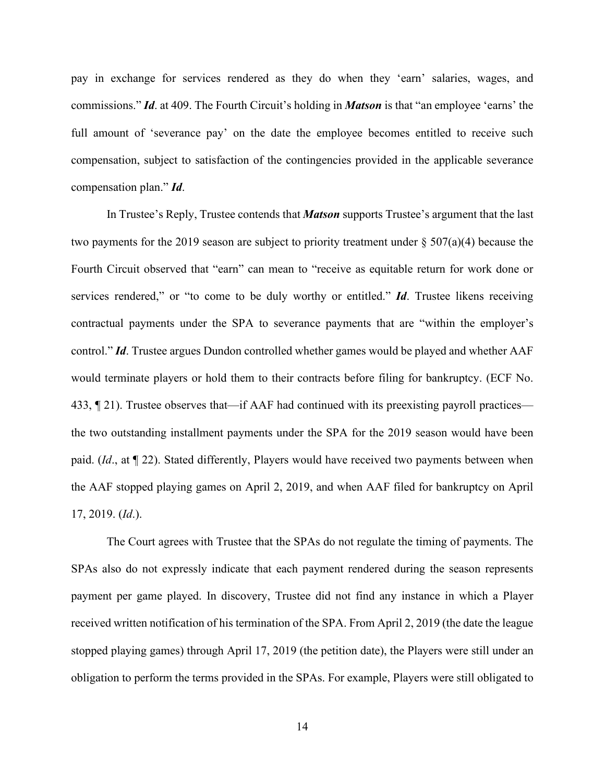pay in exchange for services rendered as they do when they 'earn' salaries, wages, and commissions." *Id*. at 409. The Fourth Circuit's holding in *Matson* is that "an employee 'earns' the full amount of 'severance pay' on the date the employee becomes entitled to receive such compensation, subject to satisfaction of the contingencies provided in the applicable severance compensation plan." *Id*.

In Trustee's Reply, Trustee contends that *Matson* supports Trustee's argument that the last two payments for the 2019 season are subject to priority treatment under  $\S 507(a)(4)$  because the Fourth Circuit observed that "earn" can mean to "receive as equitable return for work done or services rendered," or "to come to be duly worthy or entitled." *Id*. Trustee likens receiving contractual payments under the SPA to severance payments that are "within the employer's control." *Id*. Trustee argues Dundon controlled whether games would be played and whether AAF would terminate players or hold them to their contracts before filing for bankruptcy. (ECF No. 433, ¶ 21). Trustee observes that—if AAF had continued with its preexisting payroll practices the two outstanding installment payments under the SPA for the 2019 season would have been paid. (*Id*., at ¶ 22). Stated differently, Players would have received two payments between when the AAF stopped playing games on April 2, 2019, and when AAF filed for bankruptcy on April 17, 2019. (*Id*.).

The Court agrees with Trustee that the SPAs do not regulate the timing of payments. The SPAs also do not expressly indicate that each payment rendered during the season represents payment per game played. In discovery, Trustee did not find any instance in which a Player received written notification of his termination of the SPA. From April 2, 2019 (the date the league stopped playing games) through April 17, 2019 (the petition date), the Players were still under an obligation to perform the terms provided in the SPAs. For example, Players were still obligated to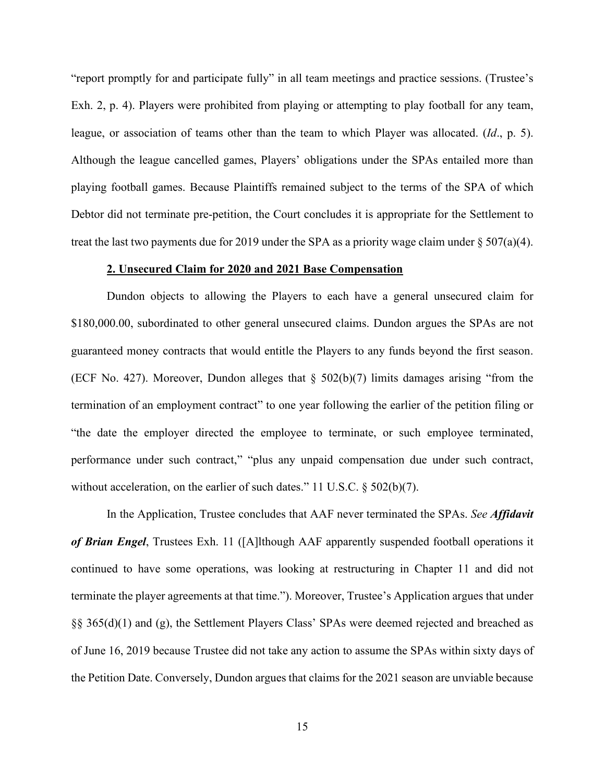"report promptly for and participate fully" in all team meetings and practice sessions. (Trustee's Exh. 2, p. 4). Players were prohibited from playing or attempting to play football for any team, league, or association of teams other than the team to which Player was allocated. (*Id*., p. 5). Although the league cancelled games, Players' obligations under the SPAs entailed more than playing football games. Because Plaintiffs remained subject to the terms of the SPA of which Debtor did not terminate pre-petition, the Court concludes it is appropriate for the Settlement to treat the last two payments due for 2019 under the SPA as a priority wage claim under  $\S 507(a)(4)$ .

#### **2. Unsecured Claim for 2020 and 2021 Base Compensation**

Dundon objects to allowing the Players to each have a general unsecured claim for \$180,000.00, subordinated to other general unsecured claims. Dundon argues the SPAs are not guaranteed money contracts that would entitle the Players to any funds beyond the first season. (ECF No. 427). Moreover, Dundon alleges that § 502(b)(7) limits damages arising "from the termination of an employment contract" to one year following the earlier of the petition filing or "the date the employer directed the employee to terminate, or such employee terminated, performance under such contract," "plus any unpaid compensation due under such contract, without acceleration, on the earlier of such dates." 11 U.S.C. § 502(b)(7).

In the Application, Trustee concludes that AAF never terminated the SPAs. *See Affidavit of Brian Engel*, Trustees Exh. 11 ([A]lthough AAF apparently suspended football operations it continued to have some operations, was looking at restructuring in Chapter 11 and did not terminate the player agreements at that time."). Moreover, Trustee's Application argues that under §§ 365(d)(1) and (g), the Settlement Players Class' SPAs were deemed rejected and breached as of June 16, 2019 because Trustee did not take any action to assume the SPAs within sixty days of the Petition Date. Conversely, Dundon argues that claims for the 2021 season are unviable because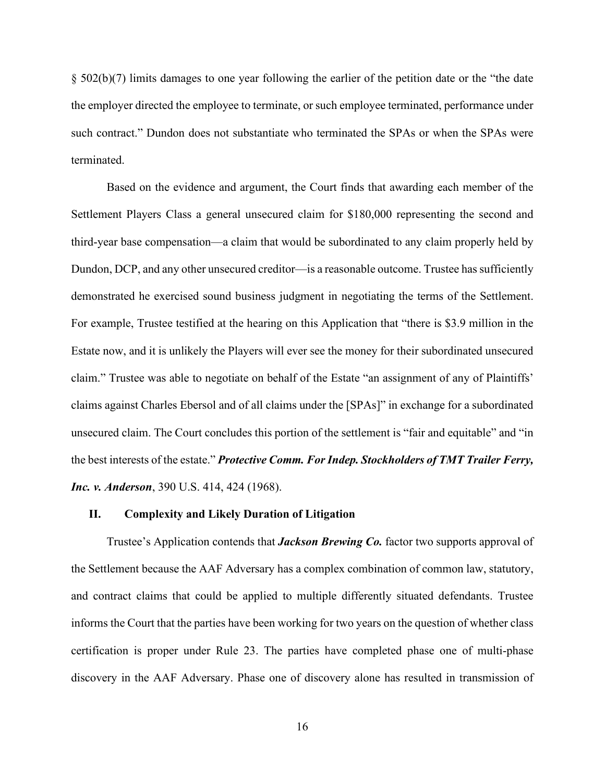§ 502(b)(7) limits damages to one year following the earlier of the petition date or the "the date the employer directed the employee to terminate, or such employee terminated, performance under such contract." Dundon does not substantiate who terminated the SPAs or when the SPAs were terminated.

Based on the evidence and argument, the Court finds that awarding each member of the Settlement Players Class a general unsecured claim for \$180,000 representing the second and third-year base compensation—a claim that would be subordinated to any claim properly held by Dundon, DCP, and any other unsecured creditor—is a reasonable outcome. Trustee has sufficiently demonstrated he exercised sound business judgment in negotiating the terms of the Settlement. For example, Trustee testified at the hearing on this Application that "there is \$3.9 million in the Estate now, and it is unlikely the Players will ever see the money for their subordinated unsecured claim." Trustee was able to negotiate on behalf of the Estate "an assignment of any of Plaintiffs' claims against Charles Ebersol and of all claims under the [SPAs]" in exchange for a subordinated unsecured claim. The Court concludes this portion of the settlement is "fair and equitable" and "in the best interests of the estate." *Protective Comm. For Indep. Stockholders of TMT Trailer Ferry, Inc. v. Anderson*, 390 U.S. 414, 424 (1968).

### **II. Complexity and Likely Duration of Litigation**

Trustee's Application contends that *Jackson Brewing Co.* factor two supports approval of the Settlement because the AAF Adversary has a complex combination of common law, statutory, and contract claims that could be applied to multiple differently situated defendants. Trustee informs the Court that the parties have been working for two years on the question of whether class certification is proper under Rule 23. The parties have completed phase one of multi-phase discovery in the AAF Adversary. Phase one of discovery alone has resulted in transmission of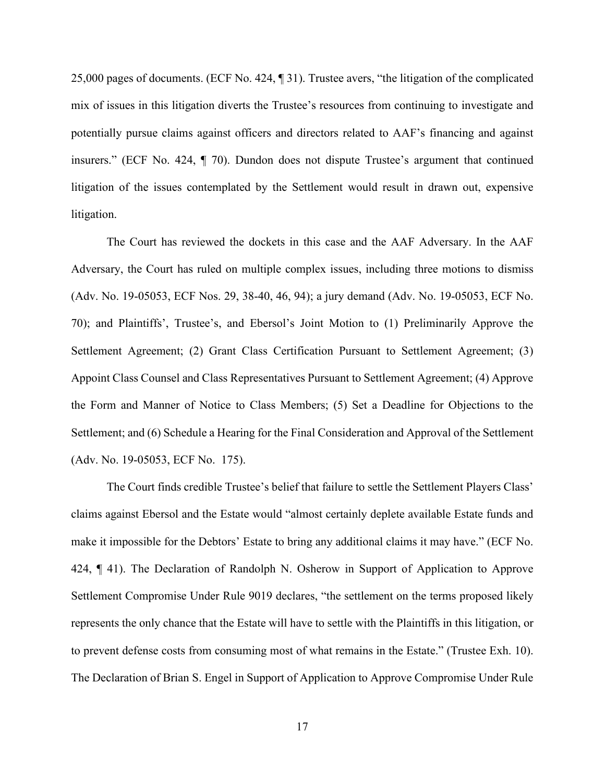25,000 pages of documents. (ECF No. 424, ¶ 31). Trustee avers, "the litigation of the complicated mix of issues in this litigation diverts the Trustee's resources from continuing to investigate and potentially pursue claims against officers and directors related to AAF's financing and against insurers." (ECF No. 424, ¶ 70). Dundon does not dispute Trustee's argument that continued litigation of the issues contemplated by the Settlement would result in drawn out, expensive litigation.

The Court has reviewed the dockets in this case and the AAF Adversary. In the AAF Adversary, the Court has ruled on multiple complex issues, including three motions to dismiss (Adv. No. 19-05053, ECF Nos. 29, 38-40, 46, 94); a jury demand (Adv. No. 19-05053, ECF No. 70); and Plaintiffs', Trustee's, and Ebersol's Joint Motion to (1) Preliminarily Approve the Settlement Agreement; (2) Grant Class Certification Pursuant to Settlement Agreement; (3) Appoint Class Counsel and Class Representatives Pursuant to Settlement Agreement; (4) Approve the Form and Manner of Notice to Class Members; (5) Set a Deadline for Objections to the Settlement; and (6) Schedule a Hearing for the Final Consideration and Approval of the Settlement (Adv. No. 19-05053, ECF No. 175).

The Court finds credible Trustee's belief that failure to settle the Settlement Players Class' claims against Ebersol and the Estate would "almost certainly deplete available Estate funds and make it impossible for the Debtors' Estate to bring any additional claims it may have." (ECF No. 424, ¶ 41). The Declaration of Randolph N. Osherow in Support of Application to Approve Settlement Compromise Under Rule 9019 declares, "the settlement on the terms proposed likely represents the only chance that the Estate will have to settle with the Plaintiffs in this litigation, or to prevent defense costs from consuming most of what remains in the Estate." (Trustee Exh. 10). The Declaration of Brian S. Engel in Support of Application to Approve Compromise Under Rule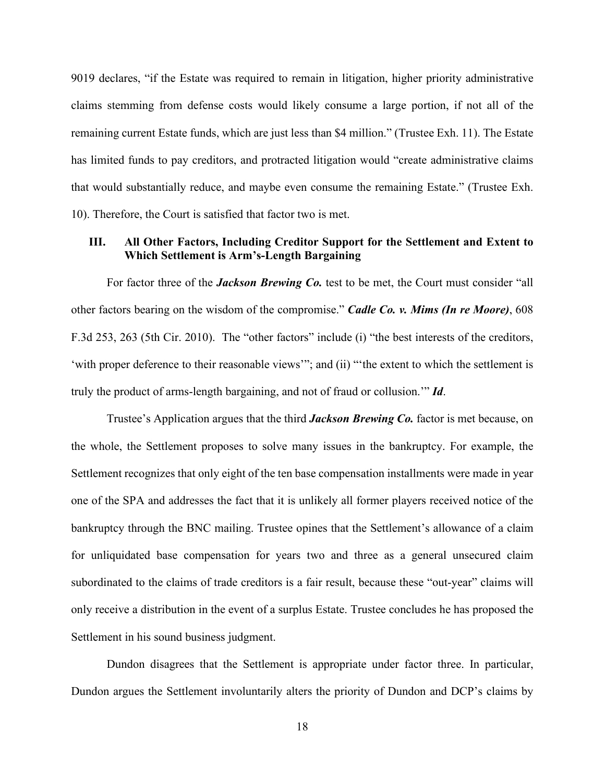9019 declares, "if the Estate was required to remain in litigation, higher priority administrative claims stemming from defense costs would likely consume a large portion, if not all of the remaining current Estate funds, which are just less than \$4 million." (Trustee Exh. 11). The Estate has limited funds to pay creditors, and protracted litigation would "create administrative claims that would substantially reduce, and maybe even consume the remaining Estate." (Trustee Exh. 10). Therefore, the Court is satisfied that factor two is met.

## **III. All Other Factors, Including Creditor Support for the Settlement and Extent to Which Settlement is Arm's-Length Bargaining**

For factor three of the *Jackson Brewing Co*, test to be met, the Court must consider "all other factors bearing on the wisdom of the compromise." *Cadle Co. v. Mims (In re Moore)*, 608 F.3d 253, 263 (5th Cir. 2010). The "other factors" include (i) "the best interests of the creditors, 'with proper deference to their reasonable views'"; and (ii) "'the extent to which the settlement is truly the product of arms-length bargaining, and not of fraud or collusion.'" *Id*.

Trustee's Application argues that the third *Jackson Brewing Co.* factor is met because, on the whole, the Settlement proposes to solve many issues in the bankruptcy. For example, the Settlement recognizes that only eight of the ten base compensation installments were made in year one of the SPA and addresses the fact that it is unlikely all former players received notice of the bankruptcy through the BNC mailing. Trustee opines that the Settlement's allowance of a claim for unliquidated base compensation for years two and three as a general unsecured claim subordinated to the claims of trade creditors is a fair result, because these "out-year" claims will only receive a distribution in the event of a surplus Estate. Trustee concludes he has proposed the Settlement in his sound business judgment.

Dundon disagrees that the Settlement is appropriate under factor three. In particular, Dundon argues the Settlement involuntarily alters the priority of Dundon and DCP's claims by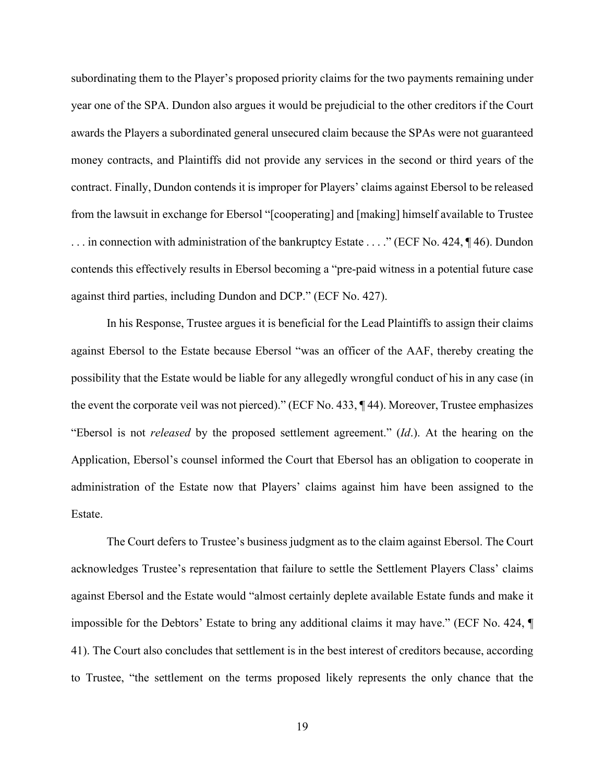subordinating them to the Player's proposed priority claims for the two payments remaining under year one of the SPA. Dundon also argues it would be prejudicial to the other creditors if the Court awards the Players a subordinated general unsecured claim because the SPAs were not guaranteed money contracts, and Plaintiffs did not provide any services in the second or third years of the contract. Finally, Dundon contends it is improper for Players' claims against Ebersol to be released from the lawsuit in exchange for Ebersol "[cooperating] and [making] himself available to Trustee . . . in connection with administration of the bankruptcy Estate . . . ." (ECF No. 424, ¶ 46). Dundon contends this effectively results in Ebersol becoming a "pre-paid witness in a potential future case against third parties, including Dundon and DCP." (ECF No. 427).

In his Response, Trustee argues it is beneficial for the Lead Plaintiffs to assign their claims against Ebersol to the Estate because Ebersol "was an officer of the AAF, thereby creating the possibility that the Estate would be liable for any allegedly wrongful conduct of his in any case (in the event the corporate veil was not pierced)." (ECF No. 433, ¶ 44). Moreover, Trustee emphasizes "Ebersol is not *released* by the proposed settlement agreement." (*Id*.). At the hearing on the Application, Ebersol's counsel informed the Court that Ebersol has an obligation to cooperate in administration of the Estate now that Players' claims against him have been assigned to the Estate.

The Court defers to Trustee's business judgment as to the claim against Ebersol. The Court acknowledges Trustee's representation that failure to settle the Settlement Players Class' claims against Ebersol and the Estate would "almost certainly deplete available Estate funds and make it impossible for the Debtors' Estate to bring any additional claims it may have." (ECF No. 424, ¶ 41). The Court also concludes that settlement is in the best interest of creditors because, according to Trustee, "the settlement on the terms proposed likely represents the only chance that the